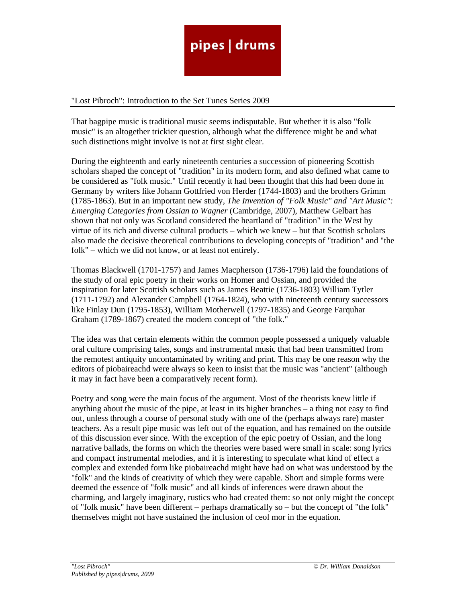

## "Lost Pibroch": Introduction to the Set Tunes Series 2009

That bagpipe music is traditional music seems indisputable. But whether it is also "folk music" is an altogether trickier question, although what the difference might be and what such distinctions might involve is not at first sight clear.

During the eighteenth and early nineteenth centuries a succession of pioneering Scottish scholars shaped the concept of "tradition" in its modern form, and also defined what came to be considered as "folk music." Until recently it had been thought that this had been done in Germany by writers like Johann Gottfried von Herder (1744-1803) and the brothers Grimm (1785-1863). But in an important new study, *The Invention of "Folk Music" and "Art Music": Emerging Categories from Ossian to Wagner* (Cambridge, 2007), Matthew Gelbart has shown that not only was Scotland considered the heartland of "tradition" in the West by virtue of its rich and diverse cultural products – which we knew – but that Scottish scholars also made the decisive theoretical contributions to developing concepts of "tradition" and "the folk" – which we did not know, or at least not entirely.

Thomas Blackwell (1701-1757) and James Macpherson (1736-1796) laid the foundations of the study of oral epic poetry in their works on Homer and Ossian, and provided the inspiration for later Scottish scholars such as James Beattie (1736-1803) William Tytler (1711-1792) and Alexander Campbell (1764-1824), who with nineteenth century successors like Finlay Dun (1795-1853), William Motherwell (1797-1835) and George Farquhar Graham (1789-1867) created the modern concept of "the folk."

The idea was that certain elements within the common people possessed a uniquely valuable oral culture comprising tales, songs and instrumental music that had been transmitted from the remotest antiquity uncontaminated by writing and print. This may be one reason why the editors of piobaireachd were always so keen to insist that the music was "ancient" (although it may in fact have been a comparatively recent form).

Poetry and song were the main focus of the argument. Most of the theorists knew little if anything about the music of the pipe, at least in its higher branches – a thing not easy to find out, unless through a course of personal study with one of the (perhaps always rare) master teachers. As a result pipe music was left out of the equation, and has remained on the outside of this discussion ever since. With the exception of the epic poetry of Ossian, and the long narrative ballads, the forms on which the theories were based were small in scale: song lyrics and compact instrumental melodies, and it is interesting to speculate what kind of effect a complex and extended form like piobaireachd might have had on what was understood by the "folk" and the kinds of creativity of which they were capable. Short and simple forms were deemed the essence of "folk music" and all kinds of inferences were drawn about the charming, and largely imaginary, rustics who had created them: so not only might the concept of "folk music" have been different – perhaps dramatically so – but the concept of "the folk" themselves might not have sustained the inclusion of ceol mor in the equation.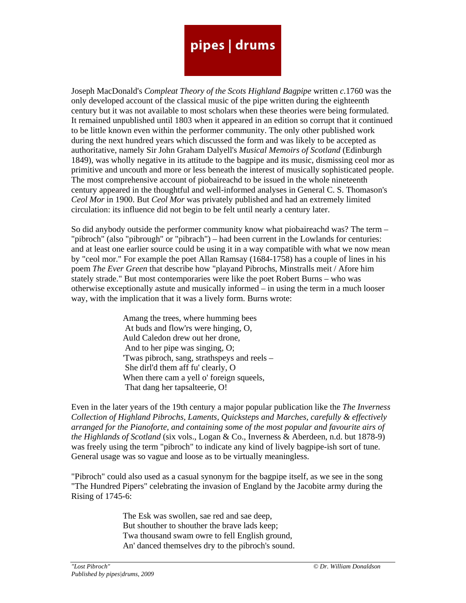## pipes | drums

Joseph MacDonald's *Compleat Theory of the Scots Highland Bagpipe* written *c.*1760 was the only developed account of the classical music of the pipe written during the eighteenth century but it was not available to most scholars when these theories were being formulated. It remained unpublished until 1803 when it appeared in an edition so corrupt that it continued to be little known even within the performer community. The only other published work during the next hundred years which discussed the form and was likely to be accepted as authoritative, namely Sir John Graham Dalyell's *Musical Memoirs of Scotland* (Edinburgh 1849), was wholly negative in its attitude to the bagpipe and its music, dismissing ceol mor as primitive and uncouth and more or less beneath the interest of musically sophisticated people. The most comprehensive account of piobaireachd to be issued in the whole nineteenth century appeared in the thoughtful and well-informed analyses in General C. S. Thomason's *Ceol Mor* in 1900. But *Ceol Mor* was privately published and had an extremely limited circulation: its influence did not begin to be felt until nearly a century later.

So did anybody outside the performer community know what piobaireachd was? The term – "pibroch" (also "pibrough" or "pibrach") – had been current in the Lowlands for centuries: and at least one earlier source could be using it in a way compatible with what we now mean by "ceol mor." For example the poet Allan Ramsay (1684-1758) has a couple of lines in his poem *The Ever Green* that describe how "playand Pibrochs, Minstralls meit / Afore him stately strade." But most contemporaries were like the poet Robert Burns – who was otherwise exceptionally astute and musically informed – in using the term in a much looser way, with the implication that it was a lively form. Burns wrote:

> Amang the trees, where humming bees At buds and flow'rs were hinging, O, Auld Caledon drew out her drone, And to her pipe was singing, O; 'Twas pibroch, sang, strathspeys and reels – She dirl'd them aff fu' clearly, O When there cam a yell o' foreign squeels, That dang her tapsalteerie, O!

Even in the later years of the 19th century a major popular publication like the *The Inverness Collection of Highland Pibrochs, Laments, Quicksteps and Marches, carefully & effectively arranged for the Pianoforte, and containing some of the most popular and favourite airs of the Highlands of Scotland* (six vols., Logan & Co., Inverness & Aberdeen, n.d. but 1878-9) was freely using the term "pibroch" to indicate any kind of lively bagpipe-ish sort of tune. General usage was so vague and loose as to be virtually meaningless.

"Pibroch" could also used as a casual synonym for the bagpipe itself, as we see in the song "The Hundred Pipers" celebrating the invasion of England by the Jacobite army during the Rising of 1745-6:

> The Esk was swollen, sae red and sae deep, But shouther to shouther the brave lads keep; Twa thousand swam owre to fell English ground, An' danced themselves dry to the pibroch's sound.